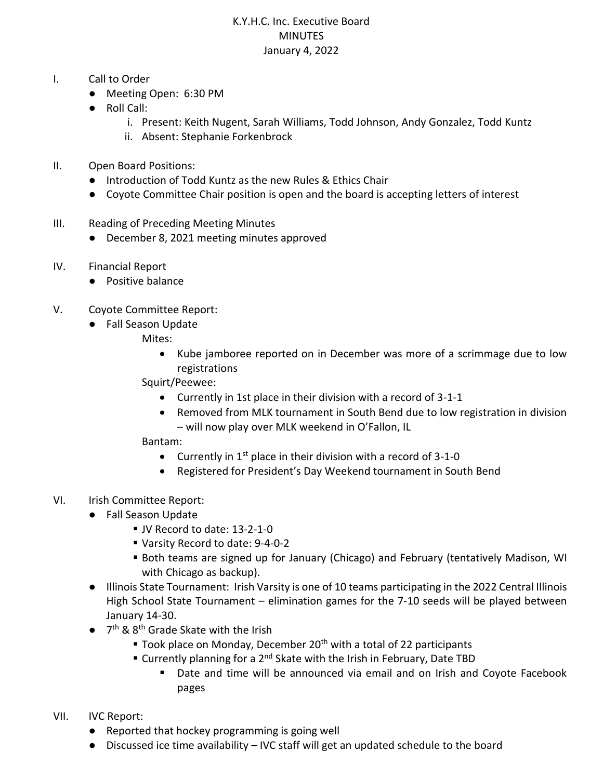## K.Y.H.C. Inc. Executive Board MINUTES January 4, 2022

- I. Call to Order
	- Meeting Open: 6:30 PM
	- Roll Call:
		- i. Present: Keith Nugent, Sarah Williams, Todd Johnson, Andy Gonzalez, Todd Kuntz
		- ii. Absent: Stephanie Forkenbrock
- II. Open Board Positions:
	- Introduction of Todd Kuntz as the new Rules & Ethics Chair
	- Coyote Committee Chair position is open and the board is accepting letters of interest
- III. Reading of Preceding Meeting Minutes
	- December 8, 2021 meeting minutes approved
- IV. Financial Report
	- Positive balance
- V. Coyote Committee Report:
	- Fall Season Update
		- Mites:
			- Kube jamboree reported on in December was more of a scrimmage due to low registrations
		- Squirt/Peewee:
			- Currently in 1st place in their division with a record of 3-1-1
			- Removed from MLK tournament in South Bend due to low registration in division – will now play over MLK weekend in O'Fallon, IL
		- Bantam:
			- Currently in  $1<sup>st</sup>$  place in their division with a record of 3-1-0
			- Registered for President's Day Weekend tournament in South Bend
- VI. Irish Committee Report:
	- Fall Season Update
		- JV Record to date: 13-2-1-0
		- Varsity Record to date: 9-4-0-2
		- Both teams are signed up for January (Chicago) and February (tentatively Madison, WI with Chicago as backup).
	- Illinois State Tournament: Irish Varsity is one of 10 teams participating in the 2022 Central Illinois High School State Tournament – elimination games for the 7-10 seeds will be played between January 14-30.
	- 7<sup>th</sup> & 8<sup>th</sup> Grade Skate with the Irish
		- $\blacksquare$  Took place on Monday, December 20<sup>th</sup> with a total of 22 participants
		- Currently planning for a 2<sup>nd</sup> Skate with the Irish in February, Date TBD
			- Date and time will be announced via email and on Irish and Coyote Facebook pages
- VII. IVC Report:
	- Reported that hockey programming is going well
	- Discussed ice time availability IVC staff will get an updated schedule to the board